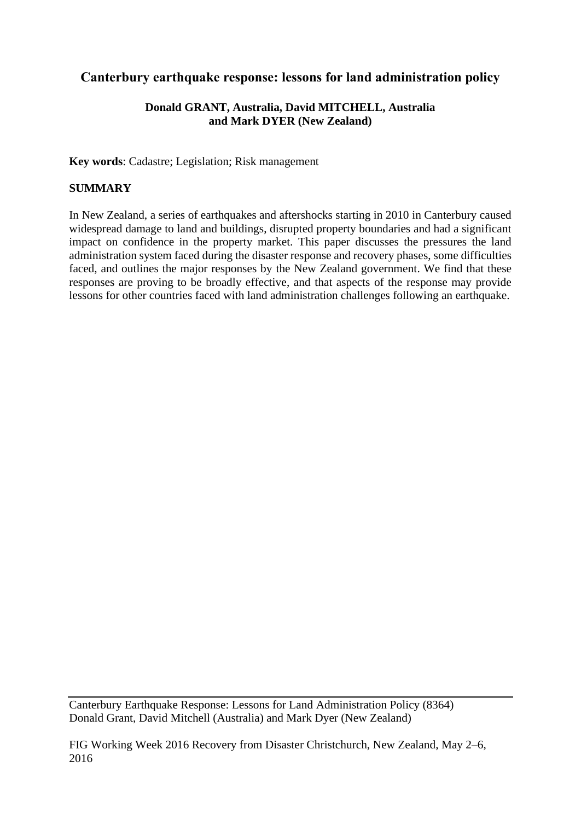# **Canterbury earthquake response: lessons for land administration policy**

## **Donald GRANT, Australia, David MITCHELL, Australia and Mark DYER (New Zealand)**

**Key words**: Cadastre; Legislation; Risk management

# **SUMMARY**

In New Zealand, a series of earthquakes and aftershocks starting in 2010 in Canterbury caused widespread damage to land and buildings, disrupted property boundaries and had a significant impact on confidence in the property market. This paper discusses the pressures the land administration system faced during the disaster response and recovery phases, some difficulties faced, and outlines the major responses by the New Zealand government. We find that these responses are proving to be broadly effective, and that aspects of the response may provide lessons for other countries faced with land administration challenges following an earthquake.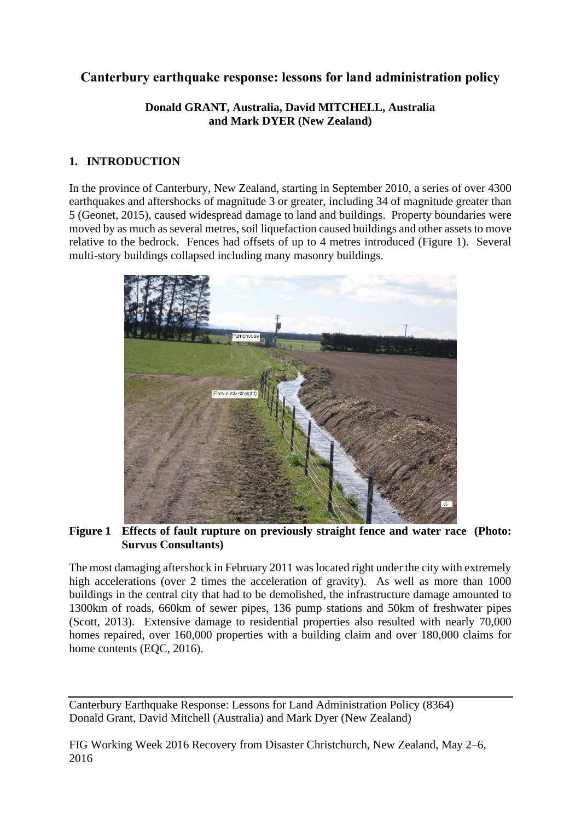# **Canterbury earthquake response: lessons for land administration policy**

#### **Donald GRANT, Australia, David MITCHELL, Australia and Mark DYER (New Zealand)**

# **1. INTRODUCTION**

In the province of Canterbury, New Zealand, starting in September 2010, a series of over 4300 earthquakes and aftershocks of magnitude 3 or greater, including 34 of magnitude greater than 5 (Geonet, 2015), caused widespread damage to land and buildings. Property boundaries were moved by as much as several metres, soil liquefaction caused buildings and other assets to move relative to the bedrock. Fences had offsets of up to 4 metres introduced (Figure 1). Several multi-story buildings collapsed including many masonry buildings.



**Figure 1 Effects of fault rupture on previously straight fence and water race (Photo: Survus Consultants)**

The most damaging aftershock in February 2011 was located right under the city with extremely high accelerations (over 2 times the acceleration of gravity). As well as more than 1000 buildings in the central city that had to be demolished, the infrastructure damage amounted to 1300km of roads, 660km of sewer pipes, 136 pump stations and 50km of freshwater pipes (Scott, 2013). Extensive damage to residential properties also resulted with nearly 70,000 homes repaired, over 160,000 properties with a building claim and over 180,000 claims for home contents (EQC, 2016).

Canterbury Earthquake Response: Lessons for Land Administration Policy (8364) Donald Grant, David Mitchell (Australia) and Mark Dyer (New Zealand)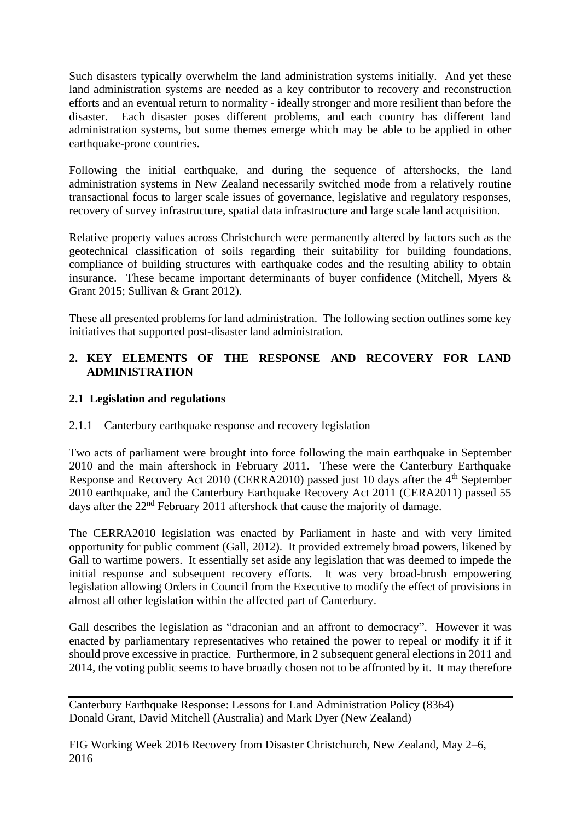Such disasters typically overwhelm the land administration systems initially. And yet these land administration systems are needed as a key contributor to recovery and reconstruction efforts and an eventual return to normality - ideally stronger and more resilient than before the disaster. Each disaster poses different problems, and each country has different land administration systems, but some themes emerge which may be able to be applied in other earthquake-prone countries.

Following the initial earthquake, and during the sequence of aftershocks, the land administration systems in New Zealand necessarily switched mode from a relatively routine transactional focus to larger scale issues of governance, legislative and regulatory responses, recovery of survey infrastructure, spatial data infrastructure and large scale land acquisition.

Relative property values across Christchurch were permanently altered by factors such as the geotechnical classification of soils regarding their suitability for building foundations, compliance of building structures with earthquake codes and the resulting ability to obtain insurance. These became important determinants of buyer confidence (Mitchell, Myers & Grant 2015; Sullivan & Grant 2012).

These all presented problems for land administration. The following section outlines some key initiatives that supported post-disaster land administration.

## **2. KEY ELEMENTS OF THE RESPONSE AND RECOVERY FOR LAND ADMINISTRATION**

## **2.1 Legislation and regulations**

#### 2.1.1 Canterbury earthquake response and recovery legislation

Two acts of parliament were brought into force following the main earthquake in September 2010 and the main aftershock in February 2011. These were the Canterbury Earthquake Response and Recovery Act 2010 (CERRA2010) passed just 10 days after the 4<sup>th</sup> September 2010 earthquake, and the Canterbury Earthquake Recovery Act 2011 (CERA2011) passed 55 days after the 22<sup>nd</sup> February 2011 aftershock that cause the majority of damage.

The CERRA2010 legislation was enacted by Parliament in haste and with very limited opportunity for public comment (Gall, 2012). It provided extremely broad powers, likened by Gall to wartime powers. It essentially set aside any legislation that was deemed to impede the initial response and subsequent recovery efforts. It was very broad-brush empowering legislation allowing Orders in Council from the Executive to modify the effect of provisions in almost all other legislation within the affected part of Canterbury.

Gall describes the legislation as "draconian and an affront to democracy". However it was enacted by parliamentary representatives who retained the power to repeal or modify it if it should prove excessive in practice. Furthermore, in 2 subsequent general elections in 2011 and 2014, the voting public seems to have broadly chosen not to be affronted by it. It may therefore

Canterbury Earthquake Response: Lessons for Land Administration Policy (8364) Donald Grant, David Mitchell (Australia) and Mark Dyer (New Zealand)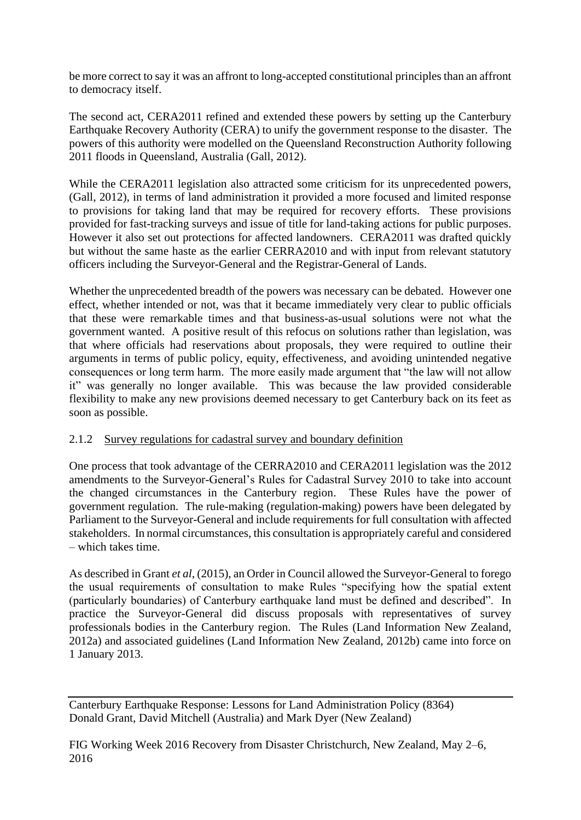be more correct to say it was an affront to long-accepted constitutional principles than an affront to democracy itself.

The second act, CERA2011 refined and extended these powers by setting up the Canterbury Earthquake Recovery Authority (CERA) to unify the government response to the disaster. The powers of this authority were modelled on the Queensland Reconstruction Authority following 2011 floods in Queensland, Australia (Gall, 2012).

While the CERA2011 legislation also attracted some criticism for its unprecedented powers, (Gall, 2012), in terms of land administration it provided a more focused and limited response to provisions for taking land that may be required for recovery efforts. These provisions provided for fast-tracking surveys and issue of title for land-taking actions for public purposes. However it also set out protections for affected landowners. CERA2011 was drafted quickly but without the same haste as the earlier CERRA2010 and with input from relevant statutory officers including the Surveyor-General and the Registrar-General of Lands.

Whether the unprecedented breadth of the powers was necessary can be debated. However one effect, whether intended or not, was that it became immediately very clear to public officials that these were remarkable times and that business-as-usual solutions were not what the government wanted. A positive result of this refocus on solutions rather than legislation, was that where officials had reservations about proposals, they were required to outline their arguments in terms of public policy, equity, effectiveness, and avoiding unintended negative consequences or long term harm. The more easily made argument that "the law will not allow it" was generally no longer available. This was because the law provided considerable flexibility to make any new provisions deemed necessary to get Canterbury back on its feet as soon as possible.

#### 2.1.2 Survey regulations for cadastral survey and boundary definition

One process that took advantage of the CERRA2010 and CERA2011 legislation was the 2012 amendments to the Surveyor-General's Rules for Cadastral Survey 2010 to take into account the changed circumstances in the Canterbury region. These Rules have the power of government regulation. The rule-making (regulation-making) powers have been delegated by Parliament to the Surveyor-General and include requirements for full consultation with affected stakeholders. In normal circumstances, this consultation is appropriately careful and considered – which takes time.

As described in Grant *et al*, (2015), an Order in Council allowed the Surveyor-General to forego the usual requirements of consultation to make Rules "specifying how the spatial extent (particularly boundaries) of Canterbury earthquake land must be defined and described". In practice the Surveyor-General did discuss proposals with representatives of survey professionals bodies in the Canterbury region. The Rules (Land Information New Zealand, 2012a) and associated guidelines (Land Information New Zealand, 2012b) came into force on 1 January 2013.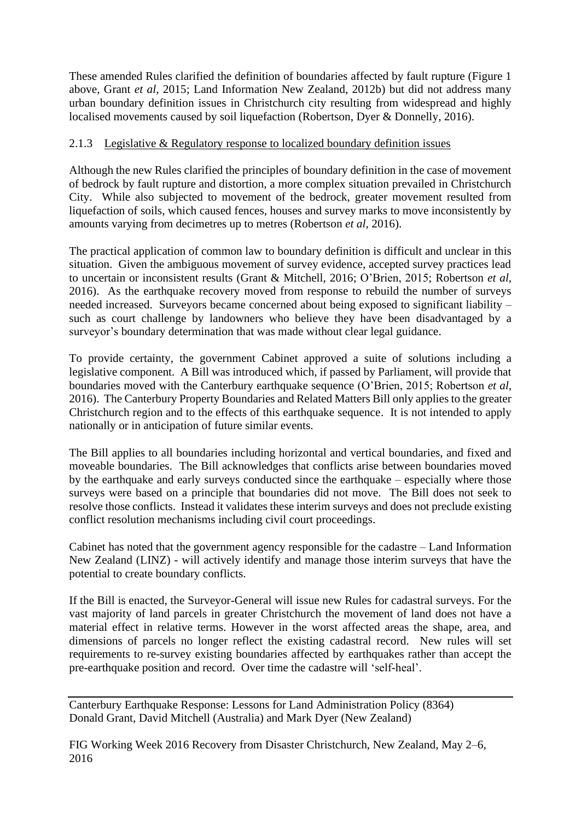These amended Rules clarified the definition of boundaries affected by fault rupture (Figure 1 above, Grant *et al*, 2015; Land Information New Zealand, 2012b) but did not address many urban boundary definition issues in Christchurch city resulting from widespread and highly localised movements caused by soil liquefaction (Robertson, Dyer & Donnelly, 2016).

#### 2.1.3 Legislative & Regulatory response to localized boundary definition issues

Although the new Rules clarified the principles of boundary definition in the case of movement of bedrock by fault rupture and distortion, a more complex situation prevailed in Christchurch City. While also subjected to movement of the bedrock, greater movement resulted from liquefaction of soils, which caused fences, houses and survey marks to move inconsistently by amounts varying from decimetres up to metres (Robertson *et al*, 2016).

The practical application of common law to boundary definition is difficult and unclear in this situation. Given the ambiguous movement of survey evidence, accepted survey practices lead to uncertain or inconsistent results (Grant & Mitchell, 2016; O'Brien, 2015; Robertson *et al*, 2016). As the earthquake recovery moved from response to rebuild the number of surveys needed increased. Surveyors became concerned about being exposed to significant liability – such as court challenge by landowners who believe they have been disadvantaged by a surveyor's boundary determination that was made without clear legal guidance.

To provide certainty, the government Cabinet approved a suite of solutions including a legislative component. A Bill was introduced which, if passed by Parliament, will provide that boundaries moved with the Canterbury earthquake sequence (O'Brien, 2015; Robertson *et al,* 2016). The Canterbury Property Boundaries and Related Matters Bill only applies to the greater Christchurch region and to the effects of this earthquake sequence. It is not intended to apply nationally or in anticipation of future similar events.

The Bill applies to all boundaries including horizontal and vertical boundaries, and fixed and moveable boundaries. The Bill acknowledges that conflicts arise between boundaries moved by the earthquake and early surveys conducted since the earthquake – especially where those surveys were based on a principle that boundaries did not move. The Bill does not seek to resolve those conflicts. Instead it validates these interim surveys and does not preclude existing conflict resolution mechanisms including civil court proceedings.

Cabinet has noted that the government agency responsible for the cadastre – Land Information New Zealand (LINZ) - will actively identify and manage those interim surveys that have the potential to create boundary conflicts.

If the Bill is enacted, the Surveyor-General will issue new Rules for cadastral surveys. For the vast majority of land parcels in greater Christchurch the movement of land does not have a material effect in relative terms. However in the worst affected areas the shape, area, and dimensions of parcels no longer reflect the existing cadastral record. New rules will set requirements to re-survey existing boundaries affected by earthquakes rather than accept the pre-earthquake position and record. Over time the cadastre will 'self-heal'.

Canterbury Earthquake Response: Lessons for Land Administration Policy (8364) Donald Grant, David Mitchell (Australia) and Mark Dyer (New Zealand)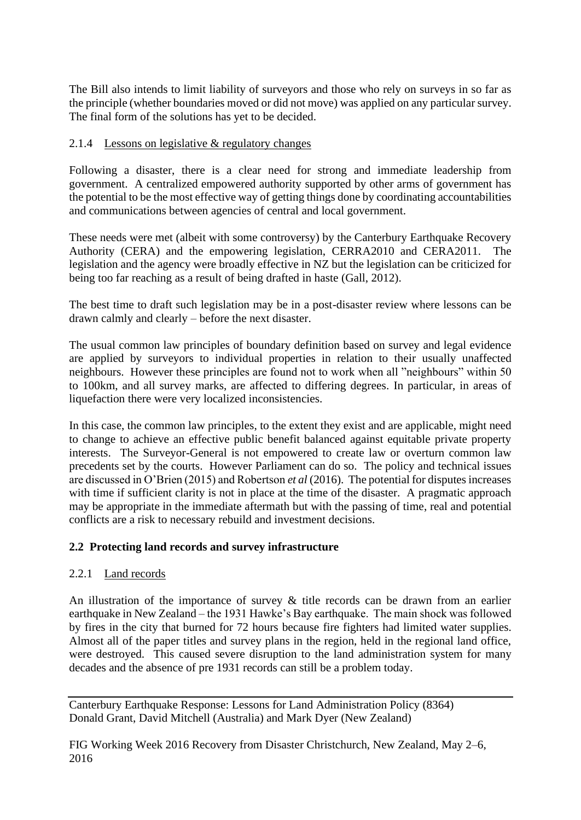The Bill also intends to limit liability of surveyors and those who rely on surveys in so far as the principle (whether boundaries moved or did not move) was applied on any particular survey. The final form of the solutions has yet to be decided.

#### 2.1.4 Lessons on legislative & regulatory changes

Following a disaster, there is a clear need for strong and immediate leadership from government. A centralized empowered authority supported by other arms of government has the potential to be the most effective way of getting things done by coordinating accountabilities and communications between agencies of central and local government.

These needs were met (albeit with some controversy) by the Canterbury Earthquake Recovery Authority (CERA) and the empowering legislation, CERRA2010 and CERA2011. The legislation and the agency were broadly effective in NZ but the legislation can be criticized for being too far reaching as a result of being drafted in haste (Gall, 2012).

The best time to draft such legislation may be in a post-disaster review where lessons can be drawn calmly and clearly – before the next disaster.

The usual common law principles of boundary definition based on survey and legal evidence are applied by surveyors to individual properties in relation to their usually unaffected neighbours. However these principles are found not to work when all "neighbours" within 50 to 100km, and all survey marks, are affected to differing degrees. In particular, in areas of liquefaction there were very localized inconsistencies.

In this case, the common law principles, to the extent they exist and are applicable, might need to change to achieve an effective public benefit balanced against equitable private property interests. The Surveyor-General is not empowered to create law or overturn common law precedents set by the courts. However Parliament can do so. The policy and technical issues are discussed in O'Brien (2015) and Robertson *et al* (2016). The potential for disputes increases with time if sufficient clarity is not in place at the time of the disaster. A pragmatic approach may be appropriate in the immediate aftermath but with the passing of time, real and potential conflicts are a risk to necessary rebuild and investment decisions.

#### **2.2 Protecting land records and survey infrastructure**

#### 2.2.1 Land records

An illustration of the importance of survey & title records can be drawn from an earlier earthquake in New Zealand – the 1931 Hawke's Bay earthquake. The main shock was followed by fires in the city that burned for 72 hours because fire fighters had limited water supplies. Almost all of the paper titles and survey plans in the region, held in the regional land office, were destroyed. This caused severe disruption to the land administration system for many decades and the absence of pre 1931 records can still be a problem today.

Canterbury Earthquake Response: Lessons for Land Administration Policy (8364) Donald Grant, David Mitchell (Australia) and Mark Dyer (New Zealand)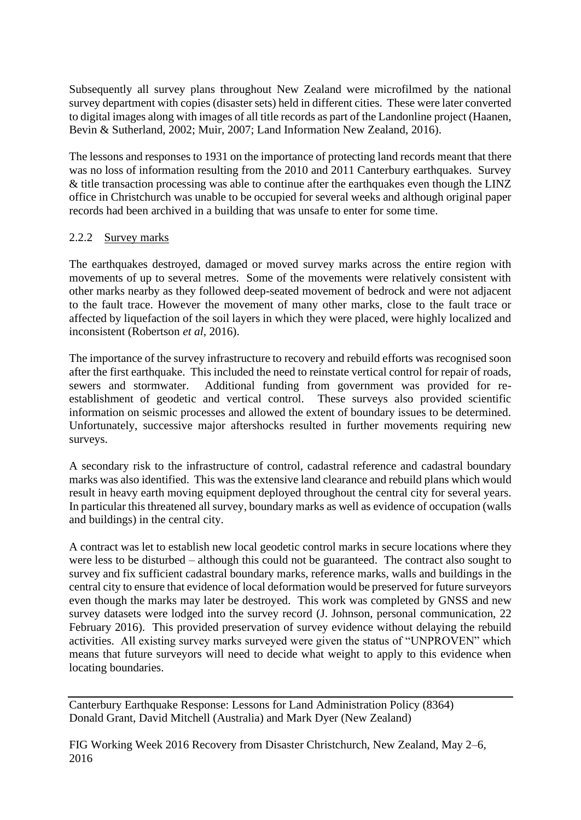Subsequently all survey plans throughout New Zealand were microfilmed by the national survey department with copies (disaster sets) held in different cities. These were later converted to digital images along with images of all title records as part of the Landonline project (Haanen, Bevin & Sutherland, 2002; Muir, 2007; Land Information New Zealand, 2016).

The lessons and responses to 1931 on the importance of protecting land records meant that there was no loss of information resulting from the 2010 and 2011 Canterbury earthquakes. Survey & title transaction processing was able to continue after the earthquakes even though the LINZ office in Christchurch was unable to be occupied for several weeks and although original paper records had been archived in a building that was unsafe to enter for some time.

#### 2.2.2 Survey marks

The earthquakes destroyed, damaged or moved survey marks across the entire region with movements of up to several metres. Some of the movements were relatively consistent with other marks nearby as they followed deep-seated movement of bedrock and were not adjacent to the fault trace. However the movement of many other marks, close to the fault trace or affected by liquefaction of the soil layers in which they were placed, were highly localized and inconsistent (Robertson *et al*, 2016).

The importance of the survey infrastructure to recovery and rebuild efforts was recognised soon after the first earthquake. This included the need to reinstate vertical control for repair of roads, sewers and stormwater. Additional funding from government was provided for reestablishment of geodetic and vertical control. These surveys also provided scientific information on seismic processes and allowed the extent of boundary issues to be determined. Unfortunately, successive major aftershocks resulted in further movements requiring new surveys.

A secondary risk to the infrastructure of control, cadastral reference and cadastral boundary marks was also identified. This was the extensive land clearance and rebuild plans which would result in heavy earth moving equipment deployed throughout the central city for several years. In particular this threatened all survey, boundary marks as well as evidence of occupation (walls and buildings) in the central city.

A contract was let to establish new local geodetic control marks in secure locations where they were less to be disturbed – although this could not be guaranteed. The contract also sought to survey and fix sufficient cadastral boundary marks, reference marks, walls and buildings in the central city to ensure that evidence of local deformation would be preserved for future surveyors even though the marks may later be destroyed. This work was completed by GNSS and new survey datasets were lodged into the survey record (J. Johnson, personal communication, 22 February 2016). This provided preservation of survey evidence without delaying the rebuild activities. All existing survey marks surveyed were given the status of "UNPROVEN" which means that future surveyors will need to decide what weight to apply to this evidence when locating boundaries.

Canterbury Earthquake Response: Lessons for Land Administration Policy (8364) Donald Grant, David Mitchell (Australia) and Mark Dyer (New Zealand)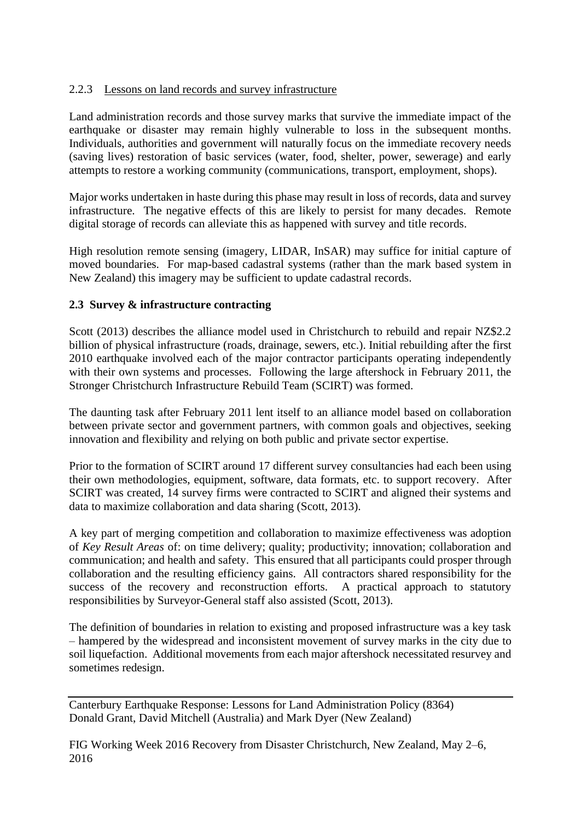## 2.2.3 Lessons on land records and survey infrastructure

Land administration records and those survey marks that survive the immediate impact of the earthquake or disaster may remain highly vulnerable to loss in the subsequent months. Individuals, authorities and government will naturally focus on the immediate recovery needs (saving lives) restoration of basic services (water, food, shelter, power, sewerage) and early attempts to restore a working community (communications, transport, employment, shops).

Major works undertaken in haste during this phase may result in loss of records, data and survey infrastructure. The negative effects of this are likely to persist for many decades. Remote digital storage of records can alleviate this as happened with survey and title records.

High resolution remote sensing (imagery, LIDAR, InSAR) may suffice for initial capture of moved boundaries. For map-based cadastral systems (rather than the mark based system in New Zealand) this imagery may be sufficient to update cadastral records.

#### **2.3 Survey & infrastructure contracting**

Scott (2013) describes the alliance model used in Christchurch to rebuild and repair NZ\$2.2 billion of physical infrastructure (roads, drainage, sewers, etc.). Initial rebuilding after the first 2010 earthquake involved each of the major contractor participants operating independently with their own systems and processes. Following the large aftershock in February 2011, the Stronger Christchurch Infrastructure Rebuild Team (SCIRT) was formed.

The daunting task after February 2011 lent itself to an alliance model based on collaboration between private sector and government partners, with common goals and objectives, seeking innovation and flexibility and relying on both public and private sector expertise.

Prior to the formation of SCIRT around 17 different survey consultancies had each been using their own methodologies, equipment, software, data formats, etc. to support recovery. After SCIRT was created, 14 survey firms were contracted to SCIRT and aligned their systems and data to maximize collaboration and data sharing (Scott, 2013).

A key part of merging competition and collaboration to maximize effectiveness was adoption of *Key Result Areas* of: on time delivery; quality; productivity; innovation; collaboration and communication; and health and safety. This ensured that all participants could prosper through collaboration and the resulting efficiency gains. All contractors shared responsibility for the success of the recovery and reconstruction efforts. A practical approach to statutory responsibilities by Surveyor-General staff also assisted (Scott, 2013).

The definition of boundaries in relation to existing and proposed infrastructure was a key task – hampered by the widespread and inconsistent movement of survey marks in the city due to soil liquefaction. Additional movements from each major aftershock necessitated resurvey and sometimes redesign.

Canterbury Earthquake Response: Lessons for Land Administration Policy (8364) Donald Grant, David Mitchell (Australia) and Mark Dyer (New Zealand)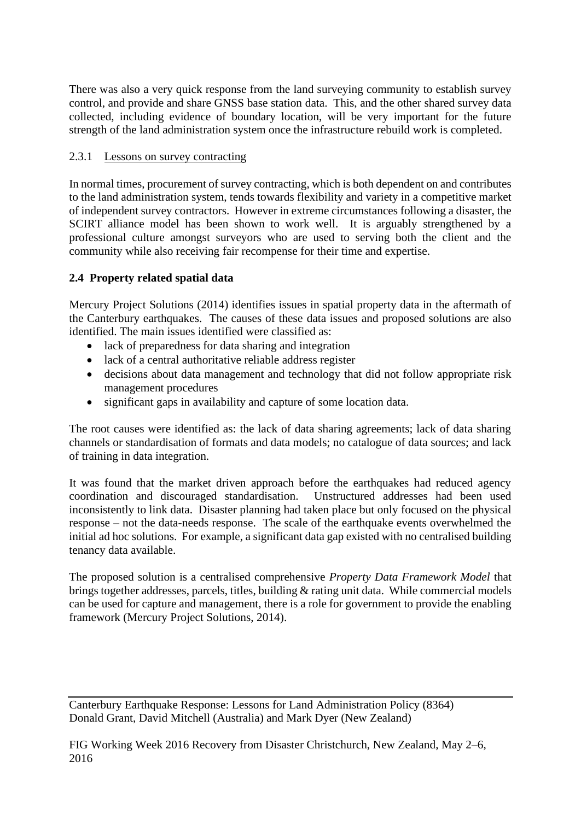There was also a very quick response from the land surveying community to establish survey control, and provide and share GNSS base station data. This, and the other shared survey data collected, including evidence of boundary location, will be very important for the future strength of the land administration system once the infrastructure rebuild work is completed.

## 2.3.1 Lessons on survey contracting

In normal times, procurement of survey contracting, which is both dependent on and contributes to the land administration system, tends towards flexibility and variety in a competitive market of independent survey contractors. However in extreme circumstances following a disaster, the SCIRT alliance model has been shown to work well. It is arguably strengthened by a professional culture amongst surveyors who are used to serving both the client and the community while also receiving fair recompense for their time and expertise.

# **2.4 Property related spatial data**

Mercury Project Solutions (2014) identifies issues in spatial property data in the aftermath of the Canterbury earthquakes. The causes of these data issues and proposed solutions are also identified. The main issues identified were classified as:

- lack of preparedness for data sharing and integration
- lack of a central authoritative reliable address register
- decisions about data management and technology that did not follow appropriate risk management procedures
- significant gaps in availability and capture of some location data.

The root causes were identified as: the lack of data sharing agreements; lack of data sharing channels or standardisation of formats and data models; no catalogue of data sources; and lack of training in data integration.

It was found that the market driven approach before the earthquakes had reduced agency coordination and discouraged standardisation. Unstructured addresses had been used inconsistently to link data. Disaster planning had taken place but only focused on the physical response – not the data-needs response. The scale of the earthquake events overwhelmed the initial ad hoc solutions. For example, a significant data gap existed with no centralised building tenancy data available.

The proposed solution is a centralised comprehensive *Property Data Framework Model* that brings together addresses, parcels, titles, building & rating unit data. While commercial models can be used for capture and management, there is a role for government to provide the enabling framework (Mercury Project Solutions, 2014).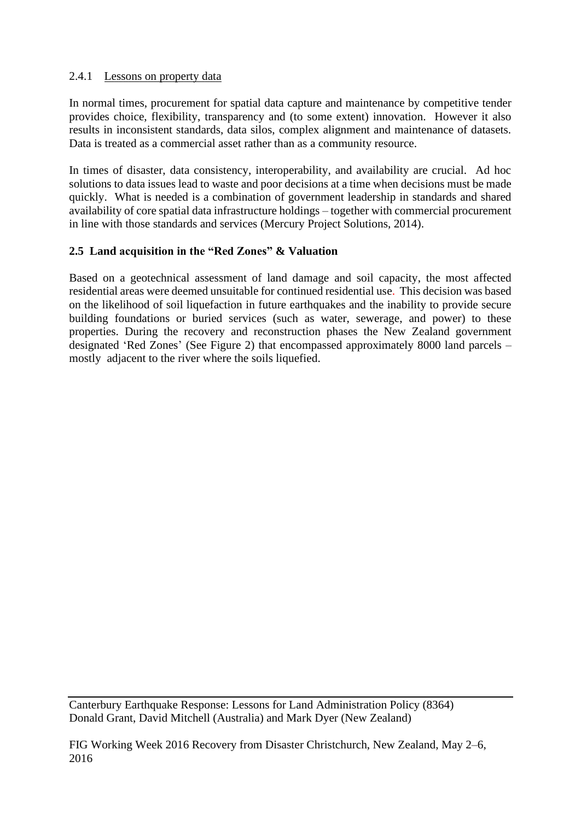#### 2.4.1 Lessons on property data

In normal times, procurement for spatial data capture and maintenance by competitive tender provides choice, flexibility, transparency and (to some extent) innovation. However it also results in inconsistent standards, data silos, complex alignment and maintenance of datasets. Data is treated as a commercial asset rather than as a community resource.

In times of disaster, data consistency, interoperability, and availability are crucial. Ad hoc solutions to data issues lead to waste and poor decisions at a time when decisions must be made quickly. What is needed is a combination of government leadership in standards and shared availability of core spatial data infrastructure holdings – together with commercial procurement in line with those standards and services (Mercury Project Solutions, 2014).

## **2.5 Land acquisition in the "Red Zones" & Valuation**

Based on a geotechnical assessment of land damage and soil capacity, the most affected residential areas were deemed unsuitable for continued residential use. This decision was based on the likelihood of soil liquefaction in future earthquakes and the inability to provide secure building foundations or buried services (such as water, sewerage, and power) to these properties. During the recovery and reconstruction phases the New Zealand government designated 'Red Zones' (See Figure 2) that encompassed approximately 8000 land parcels – mostly adjacent to the river where the soils liquefied.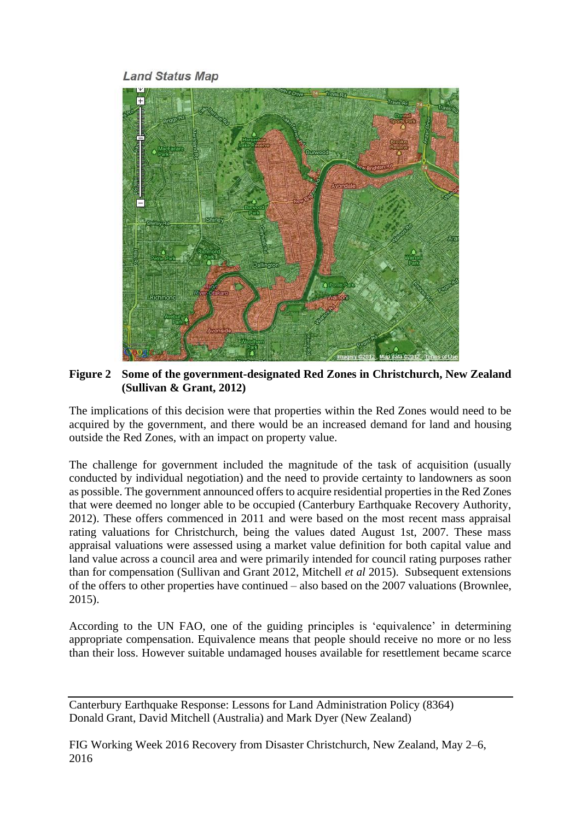**Land Status Map** 



**Figure 2 Some of the government-designated Red Zones in Christchurch, New Zealand (Sullivan & Grant, 2012)**

The implications of this decision were that properties within the Red Zones would need to be acquired by the government, and there would be an increased demand for land and housing outside the Red Zones, with an impact on property value.

The challenge for government included the magnitude of the task of acquisition (usually conducted by individual negotiation) and the need to provide certainty to landowners as soon as possible. The government announced offers to acquire residential properties in the Red Zones that were deemed no longer able to be occupied (Canterbury Earthquake Recovery Authority, 2012). These offers commenced in 2011 and were based on the most recent mass appraisal rating valuations for Christchurch, being the values dated August 1st, 2007. These mass appraisal valuations were assessed using a market value definition for both capital value and land value across a council area and were primarily intended for council rating purposes rather than for compensation (Sullivan and Grant 2012, Mitchell *et al* 2015). Subsequent extensions of the offers to other properties have continued – also based on the 2007 valuations (Brownlee, 2015).

According to the UN FAO, one of the guiding principles is 'equivalence' in determining appropriate compensation. Equivalence means that people should receive no more or no less than their loss. However suitable undamaged houses available for resettlement became scarce

Canterbury Earthquake Response: Lessons for Land Administration Policy (8364) Donald Grant, David Mitchell (Australia) and Mark Dyer (New Zealand)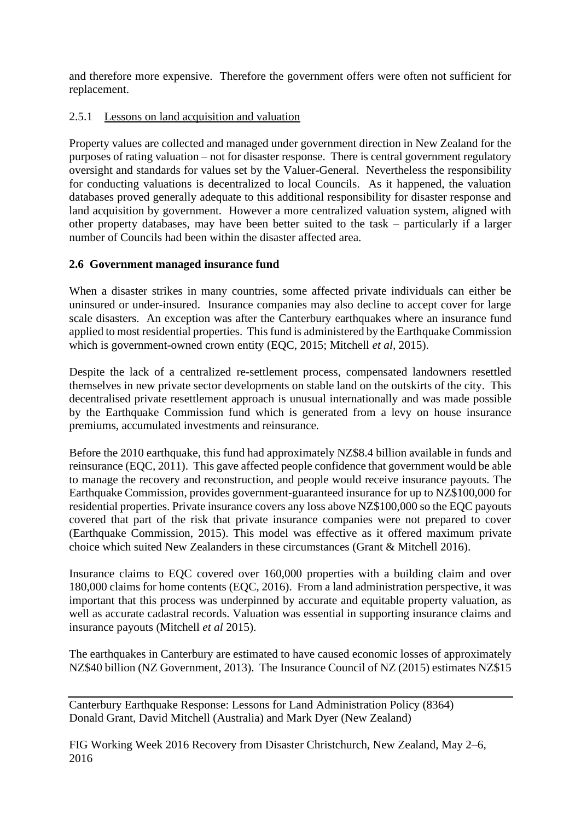and therefore more expensive. Therefore the government offers were often not sufficient for replacement.

## 2.5.1 Lessons on land acquisition and valuation

Property values are collected and managed under government direction in New Zealand for the purposes of rating valuation – not for disaster response. There is central government regulatory oversight and standards for values set by the Valuer-General. Nevertheless the responsibility for conducting valuations is decentralized to local Councils. As it happened, the valuation databases proved generally adequate to this additional responsibility for disaster response and land acquisition by government. However a more centralized valuation system, aligned with other property databases, may have been better suited to the task – particularly if a larger number of Councils had been within the disaster affected area.

#### **2.6 Government managed insurance fund**

When a disaster strikes in many countries, some affected private individuals can either be uninsured or under-insured. Insurance companies may also decline to accept cover for large scale disasters. An exception was after the Canterbury earthquakes where an insurance fund applied to most residential properties. This fund is administered by the Earthquake Commission which is government-owned crown entity (EQC, 2015; Mitchell *et al,* 2015).

Despite the lack of a centralized re-settlement process, compensated landowners resettled themselves in new private sector developments on stable land on the outskirts of the city. This decentralised private resettlement approach is unusual internationally and was made possible by the Earthquake Commission fund which is generated from a levy on house insurance premiums, accumulated investments and reinsurance.

Before the 2010 earthquake, this fund had approximately NZ\$8.4 billion available in funds and reinsurance (EQC, 2011). This gave affected people confidence that government would be able to manage the recovery and reconstruction, and people would receive insurance payouts. The Earthquake Commission, provides government-guaranteed insurance for up to NZ\$100,000 for residential properties. Private insurance covers any loss above NZ\$100,000 so the EQC payouts covered that part of the risk that private insurance companies were not prepared to cover (Earthquake Commission, 2015). This model was effective as it offered maximum private choice which suited New Zealanders in these circumstances (Grant & Mitchell 2016).

Insurance claims to EQC covered over 160,000 properties with a building claim and over 180,000 claims for home contents (EQC, 2016). From a land administration perspective, it was important that this process was underpinned by accurate and equitable property valuation, as well as accurate cadastral records. Valuation was essential in supporting insurance claims and insurance payouts (Mitchell *et al* 2015).

The earthquakes in Canterbury are estimated to have caused economic losses of approximately NZ\$40 billion (NZ Government, 2013). The Insurance Council of NZ (2015) estimates NZ\$15

Canterbury Earthquake Response: Lessons for Land Administration Policy (8364) Donald Grant, David Mitchell (Australia) and Mark Dyer (New Zealand)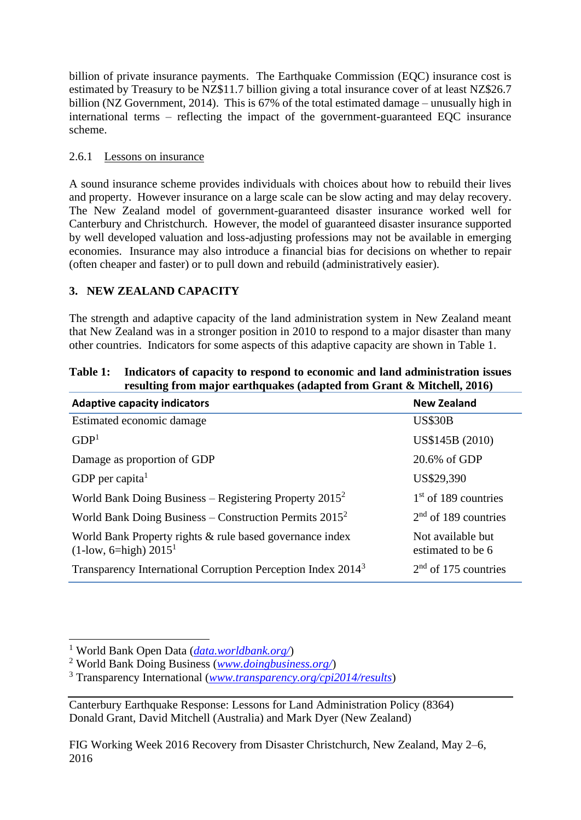billion of private insurance payments. The Earthquake Commission (EQC) insurance cost is estimated by Treasury to be NZ\$11.7 billion giving a total insurance cover of at least NZ\$26.7 billion (NZ Government, 2014). This is 67% of the total estimated damage – unusually high in international terms – reflecting the impact of the government-guaranteed EQC insurance scheme.

# 2.6.1 Lessons on insurance

A sound insurance scheme provides individuals with choices about how to rebuild their lives and property. However insurance on a large scale can be slow acting and may delay recovery. The New Zealand model of government-guaranteed disaster insurance worked well for Canterbury and Christchurch. However, the model of guaranteed disaster insurance supported by well developed valuation and loss-adjusting professions may not be available in emerging economies. Insurance may also introduce a financial bias for decisions on whether to repair (often cheaper and faster) or to pull down and rebuild (administratively easier).

# **3. NEW ZEALAND CAPACITY**

The strength and adaptive capacity of the land administration system in New Zealand meant that New Zealand was in a stronger position in 2010 to respond to a major disaster than many other countries. Indicators for some aspects of this adaptive capacity are shown in Table 1.

| <b>Adaptive capacity indicators</b>                                                     | <b>New Zealand</b>                     |
|-----------------------------------------------------------------------------------------|----------------------------------------|
| Estimated economic damage                                                               | <b>US\$30B</b>                         |
| GDP <sup>1</sup>                                                                        | US\$145B (2010)                        |
| Damage as proportion of GDP                                                             | 20.6% of GDP                           |
| GDP per capita <sup>1</sup>                                                             | US\$29,390                             |
| World Bank Doing Business – Registering Property $2015^2$                               | $1st$ of 189 countries                 |
| World Bank Doing Business – Construction Permits $2015^2$                               | $2nd$ of 189 countries                 |
| World Bank Property rights & rule based governance index<br>$(1$ -low, 6=high) $2015^1$ | Not available but<br>estimated to be 6 |
| Transparency International Corruption Perception Index 2014 <sup>3</sup>                | $2nd$ of 175 countries                 |

#### **Table 1: Indicators of capacity to respond to economic and land administration issues resulting from major earthquakes (adapted from Grant & Mitchell, 2016)**

<sup>1</sup> World Bank Open Data (*[data.worldbank.org/](http://data.worldbank.org/)*)

<sup>2</sup> World Bank Doing Business (*[www.doingbusiness.org/](http://www.doingbusiness.org/)*)

<sup>3</sup> Transparency International (*[www.transparency.org/cpi2014/results](http://www.transparency.org/cpi2014/results)*)

Canterbury Earthquake Response: Lessons for Land Administration Policy (8364) Donald Grant, David Mitchell (Australia) and Mark Dyer (New Zealand)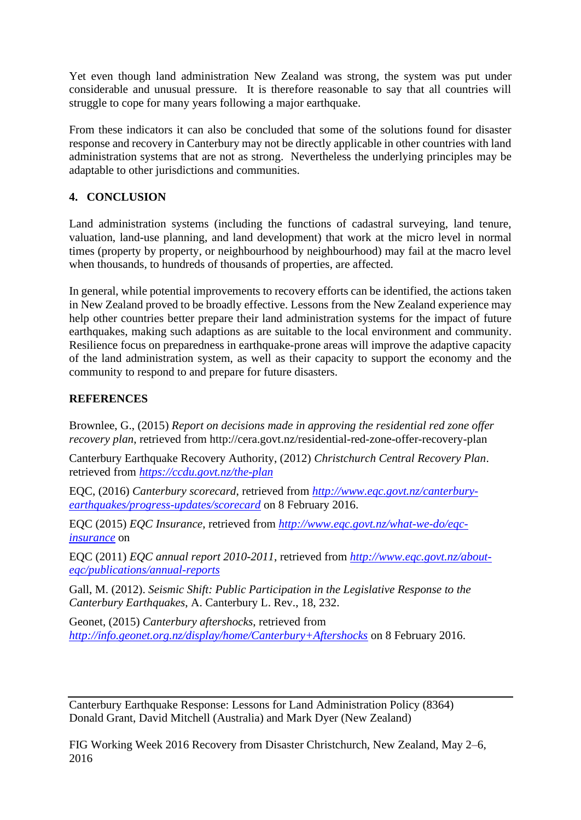Yet even though land administration New Zealand was strong, the system was put under considerable and unusual pressure. It is therefore reasonable to say that all countries will struggle to cope for many years following a major earthquake.

From these indicators it can also be concluded that some of the solutions found for disaster response and recovery in Canterbury may not be directly applicable in other countries with land administration systems that are not as strong. Nevertheless the underlying principles may be adaptable to other jurisdictions and communities.

# **4. CONCLUSION**

Land administration systems (including the functions of cadastral surveying, land tenure, valuation, land-use planning, and land development) that work at the micro level in normal times (property by property, or neighbourhood by neighbourhood) may fail at the macro level when thousands, to hundreds of thousands of properties, are affected.

In general, while potential improvements to recovery efforts can be identified, the actions taken in New Zealand proved to be broadly effective. Lessons from the New Zealand experience may help other countries better prepare their land administration systems for the impact of future earthquakes, making such adaptions as are suitable to the local environment and community. Resilience focus on preparedness in earthquake-prone areas will improve the adaptive capacity of the land administration system, as well as their capacity to support the economy and the community to respond to and prepare for future disasters.

## **REFERENCES**

Brownlee, G., (2015) *Report on decisions made in approving the residential red zone offer recovery plan*, retrieved from http://cera.govt.nz/residential-red-zone-offer-recovery-plan

Canterbury Earthquake Recovery Authority, (2012) *Christchurch Central Recovery Plan*. retrieved from *<https://ccdu.govt.nz/the-plan>*

EQC, (2016) *Canterbury scorecard*, retrieved from *[http://www.eqc.govt.nz/canterbury](http://www.eqc.govt.nz/canterbury-earthquakes/progress-updates/scorecard)[earthquakes/progress-updates/scorecard](http://www.eqc.govt.nz/canterbury-earthquakes/progress-updates/scorecard)* on 8 February 2016.

EQC (2015) *EQC Insurance*, retrieved from *[http://www.eqc.govt.nz/what-we-do/eqc](http://www.eqc.govt.nz/what-we-do/eqc-insurance)[insurance](http://www.eqc.govt.nz/what-we-do/eqc-insurance)* on

EQC (2011) *EQC annual report 2010-2011*, retrieved from *[http://www.eqc.govt.nz/about](http://www.eqc.govt.nz/about-eqc/publications/annual-reports)[eqc/publications/annual-reports](http://www.eqc.govt.nz/about-eqc/publications/annual-reports)*

Gall, M. (2012). *Seismic Shift: Public Participation in the Legislative Response to the Canterbury Earthquakes*, A. Canterbury L. Rev., 18, 232.

Geonet, (2015) *Canterbury aftershocks*, retrieved from *<http://info.geonet.org.nz/display/home/Canterbury+Aftershocks>* on 8 February 2016.

Canterbury Earthquake Response: Lessons for Land Administration Policy (8364) Donald Grant, David Mitchell (Australia) and Mark Dyer (New Zealand)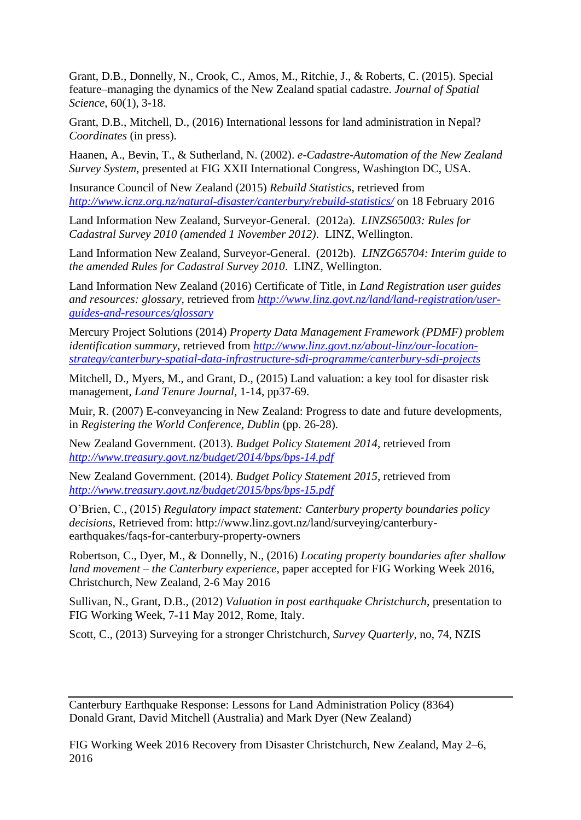Grant, D.B., Donnelly, N., Crook, C., Amos, M., Ritchie, J., & Roberts, C. (2015). Special feature–managing the dynamics of the New Zealand spatial cadastre. *Journal of Spatial Science*, 60(1), 3-18.

Grant, D.B., Mitchell, D., (2016) International lessons for land administration in Nepal? *Coordinates* (in press).

Haanen, A., Bevin, T., & Sutherland, N. (2002). *e-Cadastre-Automation of the New Zealand Survey System*, presented at FIG XXII International Congress, Washington DC, USA.

Insurance Council of New Zealand (2015) *Rebuild Statistics,* retrieved from *<http://www.icnz.org.nz/natural-disaster/canterbury/rebuild-statistics/>* on 18 February 2016

Land Information New Zealand, Surveyor-General. (2012a). *LINZS65003: Rules for Cadastral Survey 2010 (amended 1 November 2012)*. LINZ, Wellington.

Land Information New Zealand, Surveyor-General. (2012b). *LINZG65704: Interim guide to the amended Rules for Cadastral Survey 2010*. LINZ, Wellington.

Land Information New Zealand (2016) Certificate of Title, in *Land Registration user guides and resources: glossary*, retrieved from *[http://www.linz.govt.nz/land/land-registration/user](http://www.linz.govt.nz/land/land-registration/user-guides-and-resources/glossary)[guides-and-resources/glossary](http://www.linz.govt.nz/land/land-registration/user-guides-and-resources/glossary)*

Mercury Project Solutions (2014) *Property Data Management Framework (PDMF) problem identification summary*, retrieved from *[http://www.linz.govt.nz/about-linz/our-location](http://www.linz.govt.nz/about-linz/our-location-strategy/canterbury-spatial-data-infrastructure-sdi-programme/canterbury-sdi-projects)[strategy/canterbury-spatial-data-infrastructure-sdi-programme/canterbury-sdi-projects](http://www.linz.govt.nz/about-linz/our-location-strategy/canterbury-spatial-data-infrastructure-sdi-programme/canterbury-sdi-projects)*

Mitchell, D., Myers, M., and Grant, D., (2015) Land valuation: a key tool for disaster risk management, *Land Tenure Journal,* 1-14, pp37-69.

Muir, R. (2007) E-conveyancing in New Zealand: Progress to date and future developments, in *Registering the World Conference, Dublin* (pp. 26-28).

New Zealand Government. (2013). *Budget Policy Statement 2014*, retrieved from *<http://www.treasury.govt.nz/budget/2014/bps/bps-14.pdf>*

New Zealand Government. (2014). *Budget Policy Statement 2015*, retrieved from *<http://www.treasury.govt.nz/budget/2015/bps/bps-15.pdf>*

O'Brien, C., (2015) *Regulatory impact statement: Canterbury property boundaries policy decisions*, Retrieved from: http://www.linz.govt.nz/land/surveying/canterburyearthquakes/faqs-for-canterbury-property-owners

Robertson, C., Dyer, M., & Donnelly, N., (2016) *Locating property boundaries after shallow land movement – the Canterbury experience,* paper accepted for FIG Working Week 2016, Christchurch, New Zealand, 2-6 May 2016

Sullivan, N., Grant, D.B., (2012) *Valuation in post earthquake Christchurch*, presentation to FIG Working Week, 7-11 May 2012, Rome, Italy.

Scott, C., (2013) Surveying for a stronger Christchurch, *Survey Quarterly,* no, 74, NZIS

Canterbury Earthquake Response: Lessons for Land Administration Policy (8364) Donald Grant, David Mitchell (Australia) and Mark Dyer (New Zealand)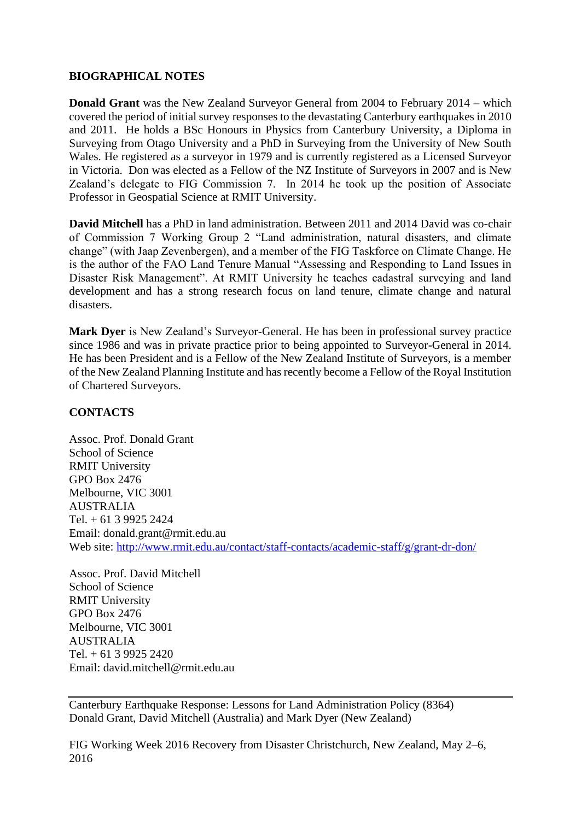#### **BIOGRAPHICAL NOTES**

**Donald Grant** was the New Zealand Surveyor General from 2004 to February 2014 – which covered the period of initial survey responses to the devastating Canterbury earthquakes in 2010 and 2011. He holds a BSc Honours in Physics from Canterbury University, a Diploma in Surveying from Otago University and a PhD in Surveying from the University of New South Wales. He registered as a surveyor in 1979 and is currently registered as a Licensed Surveyor in Victoria. Don was elected as a Fellow of the NZ Institute of Surveyors in 2007 and is New Zealand's delegate to FIG Commission 7. In 2014 he took up the position of Associate Professor in Geospatial Science at RMIT University.

**David Mitchell** has a PhD in land administration. Between 2011 and 2014 David was co-chair of Commission 7 Working Group 2 "Land administration, natural disasters, and climate change" (with Jaap Zevenbergen), and a member of the FIG Taskforce on Climate Change. He is the author of the FAO Land Tenure Manual "Assessing and Responding to Land Issues in Disaster Risk Management". At RMIT University he teaches cadastral surveying and land development and has a strong research focus on land tenure, climate change and natural disasters.

**Mark Dyer** is New Zealand's Surveyor-General. He has been in professional survey practice since 1986 and was in private practice prior to being appointed to Surveyor-General in 2014. He has been President and is a Fellow of the New Zealand Institute of Surveyors, is a member of the New Zealand Planning Institute and has recently become a Fellow of the Royal Institution of Chartered Surveyors.

#### **CONTACTS**

Assoc. Prof. Donald Grant School of Science RMIT University GPO Box 2476 Melbourne, VIC 3001 AUSTRALIA Tel. + 61 3 9925 2424 Email: donald.grant@rmit.edu.au Web site:<http://www.rmit.edu.au/contact/staff-contacts/academic-staff/g/grant-dr-don/>

Assoc. Prof. David Mitchell School of Science RMIT University GPO Box 2476 Melbourne, VIC 3001 AUSTRALIA Tel.  $+ 61$  3 9925 2420 Email: david.mitchell@rmit.edu.au

Canterbury Earthquake Response: Lessons for Land Administration Policy (8364) Donald Grant, David Mitchell (Australia) and Mark Dyer (New Zealand)